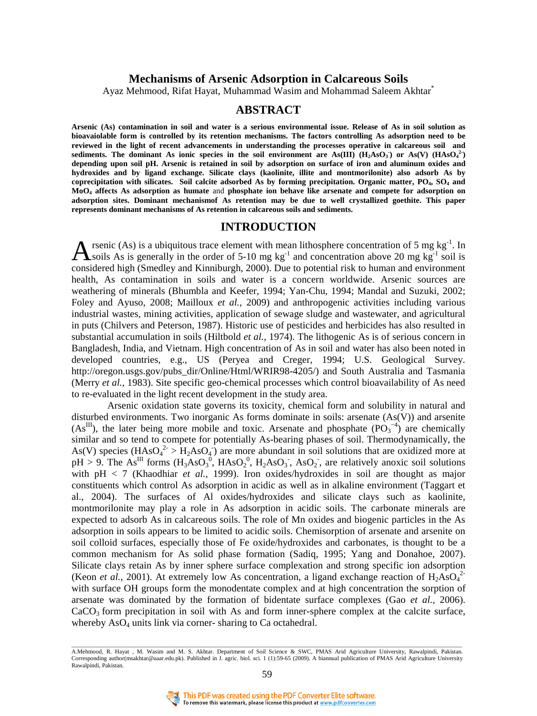## **Mechanisms of Arsenic Adsorption in Calcareous Soils**

Ayaz Mehmood, Rifat Hayat, Muhammad Wasim and Mohammad Saleem Akhtar\*

## **ABSTRACT**

**Arsenic (As) contamination in soil and water is a serious environmental issue. Release of As in soil solution as bioavaiolable form is controlled by its retention mechanisms. The factors controlling As adsorption need to be reviewed in the light of recent advancements in understanding the processes operative in calcareous soil and**  sediments. The dominant As ionic species in the soil environment are As(III)  $(H_2AsO<sub>3</sub>)$  or As(V)  $(HAsO<sub>4</sub><sup>2</sup>)$ **depending upon soil pH. Arsenic is retained in soil by adsorption on surface of iron and aluminum oxides and hydroxides and by ligand exchange. Silicate clays (kaolinite, illite and montmorilonite) also adsorb As by coprecipitation with silicates. Soil calcite adsorbed As by forming precipitation. Organic matter, PO4, SO4 and MoO4 affects As adsorption as humate** and **phosphate ion behave like arsenate and compete for adsorption on adsorption sites. Dominant mechanismof As retention may be due to well crystallized goethite. This paper represents dominant mechanisms of As retention in calcareous soils and sediments.** 

### **INTRODUCTION**

rsenic (As) is a ubiquitous trace element with mean lithosphere concentration of 5 mg  $kg^{-1}$ . In **A** rsenic (As) is a ubiquitous trace element with mean lithosphere concentration of 5 mg kg<sup>-1</sup>. In soils As is generally in the order of 5-10 mg kg<sup>-1</sup> and concentration above 20 mg kg<sup>-1</sup> soil is considered high (Smedley and Kinniburgh, 2000). Due to potential risk to human and environment health, As contamination in soils and water is a concern worldwide. Arsenic sources are weathering of minerals (Bhumbla and Keefer, 1994; Yan-Chu, 1994; Mandal and Suzuki, 2002; Foley and Ayuso, 2008; Mailloux *et al.,* 2009) and anthropogenic activities including various industrial wastes, mining activities, application of sewage sludge and wastewater, and agricultural in puts (Chilvers and Peterson, 1987). Historic use of pesticides and herbicides has also resulted in substantial accumulation in soils (Hiltbold *et al.,* 1974). The lithogenic As is of serious concern in Bangladesh, India, and Vietnam. High concentration of As in soil and water has also been noted in developed countries, e.g., US (Peryea and Creger, 1994; U.S. Geological Survey. http://oregon.usgs.gov/pubs\_dir/Online/Html/WRIR98-4205/) and South Australia and Tasmania (Merry *et al.,* 1983). Site specific geo-chemical processes which control bioavailability of As need to re-evaluated in the light recent development in the study area.

Arsenic oxidation state governs its toxicity, chemical form and solubility in natural and disturbed environments. Two inorganic As forms dominate in soils: arsenate (As(V)) and arsenite  $(As^{III})$ , the later being more mobile and toxic. Arsenate and phosphate  $(PO_3^{-4})$  are chemically similar and so tend to compete for potentially As-bearing phases of soil. Thermodynamically, the As(V) species  $(HAsO<sub>4</sub><sup>2</sup> > H<sub>2</sub>AsO<sub>4</sub>)$  are more abundant in soil solutions that are oxidized more at  $pH > 9$ . The As<sup>III</sup> forms  $(H_3AsO_3^0, HAsO_2^0, H_2AsO_3^0, AsO_2^0,$  are relatively anoxic soil solutions with pH < 7 (Khaodhiar *et al.,* 1999). Iron oxides/hydroxides in soil are thought as major constituents which control As adsorption in acidic as well as in alkaline environment (Taggart et al., 2004). The surfaces of Al oxides/hydroxides and silicate clays such as kaolinite, montmorilonite may play a role in As adsorption in acidic soils. The carbonate minerals are expected to adsorb As in calcareous soils. The role of Mn oxides and biogenic particles in the As adsorption in soils appears to be limited to acidic soils. Chemisorption of arsenate and arsenite on soil colloid surfaces, especially those of Fe oxide/hydroxides and carbonates, is thought to be a common mechanism for As solid phase formation (Sadiq, 1995; Yang and Donahoe, 2007). Silicate clays retain As by inner sphere surface complexation and strong specific ion adsorption (Keon *et al.*, 2001). At extremely low As concentration, a ligand exchange reaction of  $H_2AsO<sub>4</sub><sup>2</sup>$ with surface OH groups form the monodentate complex and at high concentration the sorption of arsenate was dominated by the formation of bidentate surface complexes (Gao *et al.,* 2006).  $CaCO<sub>3</sub>$  form precipitation in soil with As and form inner-sphere complex at the calcite surface, whereby  $AsO<sub>4</sub>$  units link via corner-sharing to Ca octahedral.

<sup>-&</sup>lt;br>A.Mehmood, R. Hayat , M. Wasim and M. S. Akhtar. Department of Soil Science & SWC, PMAS Arid Agriculture University, Rawalpindi, Pakistan. Corresponding author(msakhtar@uaar.edu.pk). Published in J. agric. biol. sci. 1 (1):59-65 (2009). A biannual publication of PMAS Arid Agriculture University Rawalpindi, Pakistan.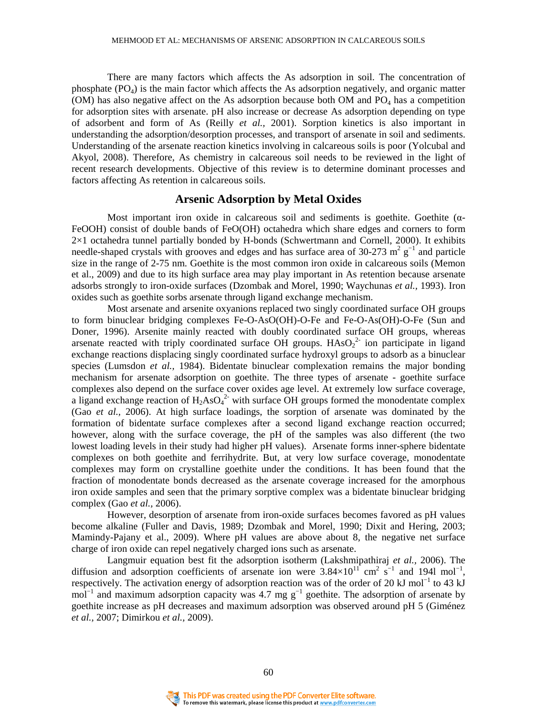There are many factors which affects the As adsorption in soil. The concentration of phosphate  $(PO_4)$  is the main factor which affects the As adsorption negatively, and organic matter (OM) has also negative affect on the As adsorption because both OM and  $PQ<sub>4</sub>$  has a competition for adsorption sites with arsenate. pH also increase or decrease As adsorption depending on type of adsorbent and form of As (Reilly *et al.,* 2001). Sorption kinetics is also important in understanding the adsorption/desorption processes, and transport of arsenate in soil and sediments. Understanding of the arsenate reaction kinetics involving in calcareous soils is poor (Yolcubal and Akyol, 2008). Therefore, As chemistry in calcareous soil needs to be reviewed in the light of recent research developments. Objective of this review is to determine dominant processes and factors affecting As retention in calcareous soils.

### **Arsenic Adsorption by Metal Oxides**

Most important iron oxide in calcareous soil and sediments is goethite. Goethite ( $\alpha$ -FeOOH) consist of double bands of FeO(OH) octahedra which share edges and corners to form 2×1 octahedra tunnel partially bonded by H-bonds (Schwertmann and Cornell, 2000). It exhibits needle-shaped crystals with grooves and edges and has surface area of 30-273 m<sup>2</sup>  $g^{-1}$  and particle size in the range of 2-75 nm. Goethite is the most common iron oxide in calcareous soils (Memon et al., 2009) and due to its high surface area may play important in As retention because arsenate adsorbs strongly to iron-oxide surfaces (Dzombak and Morel, 1990; Waychunas *et al.,* 1993). Iron oxides such as goethite sorbs arsenate through ligand exchange mechanism.

Most arsenate and arsenite oxyanions replaced two singly coordinated surface OH groups to form binuclear bridging complexes Fe-O-AsO(OH)-O-Fe and Fe-O-As(OH)-O-Fe (Sun and Doner, 1996). Arsenite mainly reacted with doubly coordinated surface OH groups, whereas arsenate reacted with triply coordinated surface OH groups.  $HASO_2^2$  ion participate in ligand exchange reactions displacing singly coordinated surface hydroxyl groups to adsorb as a binuclear species (Lumsdon *et al.,* 1984). Bidentate binuclear complexation remains the major bonding mechanism for arsenate adsorption on goethite. The three types of arsenate - goethite surface complexes also depend on the surface cover oxides age level. At extremely low surface coverage, a ligand exchange reaction of  $H_2AsO<sub>4</sub><sup>2</sup>$  with surface OH groups formed the monodentate complex (Gao *et al.,* 2006). At high surface loadings, the sorption of arsenate was dominated by the formation of bidentate surface complexes after a second ligand exchange reaction occurred; however, along with the surface coverage, the pH of the samples was also different (the two lowest loading levels in their study had higher pH values). Arsenate forms inner-sphere bidentate complexes on both goethite and ferrihydrite. But, at very low surface coverage, monodentate complexes may form on crystalline goethite under the conditions. It has been found that the fraction of monodentate bonds decreased as the arsenate coverage increased for the amorphous iron oxide samples and seen that the primary sorptive complex was a bidentate binuclear bridging complex (Gao *et al.,* 2006).

However, desorption of arsenate from iron-oxide surfaces becomes favored as pH values become alkaline (Fuller and Davis, 1989; Dzombak and Morel, 1990; Dixit and Hering, 2003; Mamindy-Pajany et al., 2009). Where pH values are above about 8, the negative net surface charge of iron oxide can repel negatively charged ions such as arsenate.

Langmuir equation best fit the adsorption isotherm (Lakshmipathiraj *et al.,* 2006). The diffusion and adsorption coefficients of arsenate ion were  $3.84 \times 10^{11}$  cm<sup>2</sup> s<sup>-1</sup> and 1941 mol<sup>-1</sup>, respectively. The activation energy of adsorption reaction was of the order of 20 kJ mol<sup>-1</sup> to 43 kJ mol<sup>-1</sup> and maximum adsorption capacity was 4.7 mg  $g^{-1}$  goethite. The adsorption of arsenate by goethite increase as pH decreases and maximum adsorption was observed around pH 5 (Giménez *et al.,* 2007; Dimirkou *et al.,* 2009).

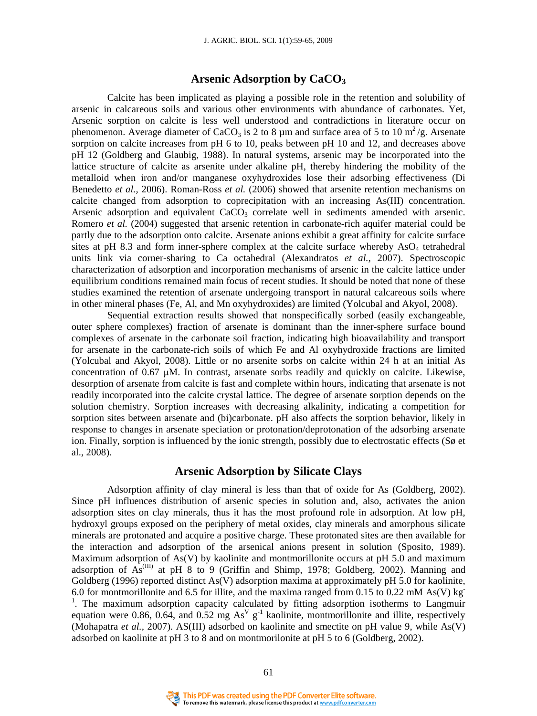## **Arsenic Adsorption by CaCO<sup>3</sup>**

Calcite has been implicated as playing a possible role in the retention and solubility of arsenic in calcareous soils and various other environments with abundance of carbonates. Yet, Arsenic sorption on calcite is less well understood and contradictions in literature occur on phenomenon. Average diameter of CaCO<sub>3</sub> is 2 to 8  $\mu$ m and surface area of 5 to 10 m<sup>2</sup>/g. Arsenate sorption on calcite increases from pH 6 to 10, peaks between pH 10 and 12, and decreases above pH 12 (Goldberg and Glaubig, 1988). In natural systems, arsenic may be incorporated into the lattice structure of calcite as arsenite under alkaline pH, thereby hindering the mobility of the metalloid when iron and/or manganese oxyhydroxides lose their adsorbing effectiveness (Di Benedetto *et al.,* 2006). Roman-Ross *et al.* (2006) showed that arsenite retention mechanisms on calcite changed from adsorption to coprecipitation with an increasing As(III) concentration. Arsenic adsorption and equivalent  $CaCO<sub>3</sub>$  correlate well in sediments amended with arsenic. Romero *et al.* (2004) suggested that arsenic retention in carbonate-rich aquifer material could be partly due to the adsorption onto calcite. Arsenate anions exhibit a great affinity for calcite surface sites at pH 8.3 and form inner-sphere complex at the calcite surface whereby  $AsO<sub>4</sub>$  tetrahedral units link via corner-sharing to Ca octahedral (Alexandratos *et al.,* 2007). Spectroscopic characterization of adsorption and incorporation mechanisms of arsenic in the calcite lattice under equilibrium conditions remained main focus of recent studies. It should be noted that none of these studies examined the retention of arsenate undergoing transport in natural calcareous soils where in other mineral phases (Fe, Al, and Mn oxyhydroxides) are limited (Yolcubal and Akyol, 2008).

Sequential extraction results showed that nonspecifically sorbed (easily exchangeable, outer sphere complexes) fraction of arsenate is dominant than the inner-sphere surface bound complexes of arsenate in the carbonate soil fraction, indicating high bioavailability and transport for arsenate in the carbonate-rich soils of which Fe and Al oxyhydroxide fractions are limited (Yolcubal and Akyol, 2008). Little or no arsenite sorbs on calcite within 24 h at an initial As concentration of  $0.67 \mu M$ . In contrast, arsenate sorbs readily and quickly on calcite. Likewise, desorption of arsenate from calcite is fast and complete within hours, indicating that arsenate is not readily incorporated into the calcite crystal lattice. The degree of arsenate sorption depends on the solution chemistry. Sorption increases with decreasing alkalinity, indicating a competition for sorption sites between arsenate and (bi)carbonate. pH also affects the sorption behavior, likely in response to changes in arsenate speciation or protonation/deprotonation of the adsorbing arsenate ion. Finally, sorption is influenced by the ionic strength, possibly due to electrostatic effects (Sø et al., 2008).

# **Arsenic Adsorption by Silicate Clays**

Adsorption affinity of clay mineral is less than that of oxide for As (Goldberg, 2002). Since pH influences distribution of arsenic species in solution and, also, activates the anion adsorption sites on clay minerals, thus it has the most profound role in adsorption. At low pH, hydroxyl groups exposed on the periphery of metal oxides, clay minerals and amorphous silicate minerals are protonated and acquire a positive charge. These protonated sites are then available for the interaction and adsorption of the arsenical anions present in solution (Sposito, 1989). Maximum adsorption of  $As(V)$  by kaolinite and montmorillonite occurs at pH 5.0 and maximum adsorption of  $As^{(III)}$  at pH 8 to 9 (Griffin and Shimp, 1978; Goldberg, 2002). Manning and Goldberg (1996) reported distinct As(V) adsorption maxima at approximately pH 5.0 for kaolinite, 6.0 for montmorillonite and 6.5 for illite, and the maxima ranged from 0.15 to 0.22 mM As(V) kg <sup>1</sup>. The maximum adsorption capacity calculated by fitting adsorption isotherms to Langmuir equation were 0.86, 0.64, and 0.52 mg  $As^V g^{-1}$  kaolinite, montmorillonite and illite, respectively (Mohapatra *et al.,* 2007). AS(III) adsorbed on kaolinite and smectite on pH value 9, while As(V) adsorbed on kaolinite at pH 3 to 8 and on montmorilonite at pH 5 to 6 (Goldberg, 2002).

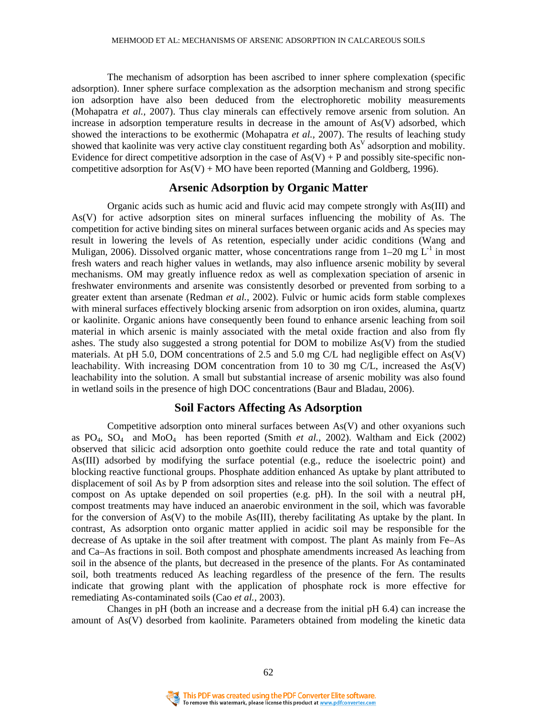The mechanism of adsorption has been ascribed to inner sphere complexation (specific adsorption). Inner sphere surface complexation as the adsorption mechanism and strong specific ion adsorption have also been deduced from the electrophoretic mobility measurements (Mohapatra *et al.,* 2007). Thus clay minerals can effectively remove arsenic from solution. An increase in adsorption temperature results in decrease in the amount of As(V) adsorbed, which showed the interactions to be exothermic (Mohapatra *et al.,* 2007). The results of leaching study showed that kaolinite was very active clay constituent regarding both  $As<sup>V</sup>$  adsorption and mobility. Evidence for direct competitive adsorption in the case of  $As(V) + P$  and possibly site-specific noncompetitive adsorption for  $As(V) + MO$  have been reported (Manning and Goldberg, 1996).

## **Arsenic Adsorption by Organic Matter**

Organic acids such as humic acid and fluvic acid may compete strongly with As(III) and As(V) for active adsorption sites on mineral surfaces influencing the mobility of As. The competition for active binding sites on mineral surfaces between organic acids and As species may result in lowering the levels of As retention, especially under acidic conditions (Wang and Muligan, 2006). Dissolved organic matter, whose concentrations range from  $1-20$  mg L<sup>-1</sup> in most fresh waters and reach higher values in wetlands, may also influence arsenic mobility by several mechanisms. OM may greatly influence redox as well as complexation speciation of arsenic in freshwater environments and arsenite was consistently desorbed or prevented from sorbing to a greater extent than arsenate (Redman *et al.,* 2002). Fulvic or humic acids form stable complexes with mineral surfaces effectively blocking arsenic from adsorption on iron oxides, alumina, quartz or kaolinite. Organic anions have consequently been found to enhance arsenic leaching from soil material in which arsenic is mainly associated with the metal oxide fraction and also from fly ashes. The study also suggested a strong potential for DOM to mobilize As(V) from the studied materials. At pH 5.0, DOM concentrations of 2.5 and 5.0 mg C/L had negligible effect on As(V) leachability. With increasing DOM concentration from 10 to 30 mg C/L, increased the As(V) leachability into the solution. A small but substantial increase of arsenic mobility was also found in wetland soils in the presence of high DOC concentrations (Baur and Bladau, 2006).

# **Soil Factors Affecting As Adsorption**

Competitive adsorption onto mineral surfaces between As(V) and other oxyanions such as  $PO_4$ ,  $SO_4$  and  $MoO_4$  has been reported (Smith *et al.*, 2002). Waltham and Eick (2002) observed that silicic acid adsorption onto goethite could reduce the rate and total quantity of As(III) adsorbed by modifying the surface potential (e.g., reduce the isoelectric point) and blocking reactive functional groups. Phosphate addition enhanced As uptake by plant attributed to displacement of soil As by P from adsorption sites and release into the soil solution. The effect of compost on As uptake depended on soil properties (e.g. pH). In the soil with a neutral pH, compost treatments may have induced an anaerobic environment in the soil, which was favorable for the conversion of  $As(V)$  to the mobile  $As(III)$ , thereby facilitating As uptake by the plant. In contrast, As adsorption onto organic matter applied in acidic soil may be responsible for the decrease of As uptake in the soil after treatment with compost. The plant As mainly from Fe–As and Ca–As fractions in soil. Both compost and phosphate amendments increased As leaching from soil in the absence of the plants, but decreased in the presence of the plants. For As contaminated soil, both treatments reduced As leaching regardless of the presence of the fern. The results indicate that growing plant with the application of phosphate rock is more effective for remediating As-contaminated soils (Cao *et al.,* 2003).

Changes in pH (both an increase and a decrease from the initial pH 6.4) can increase the amount of As(V) desorbed from kaolinite. Parameters obtained from modeling the kinetic data

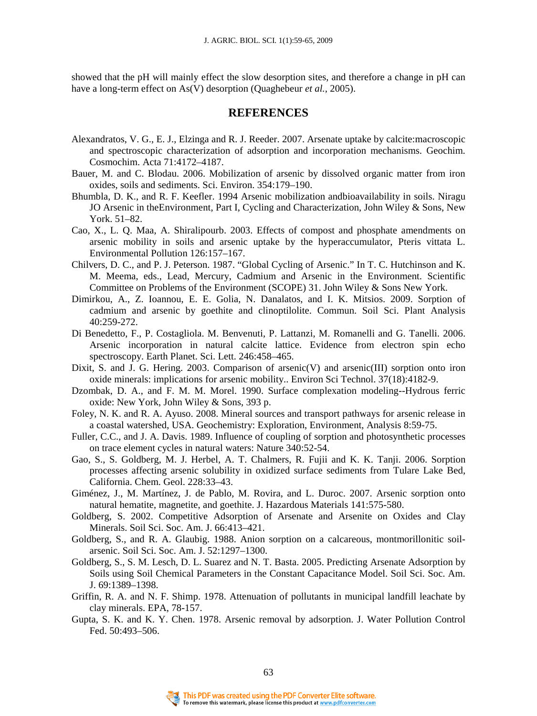showed that the pH will mainly effect the slow desorption sites, and therefore a change in pH can have a long-term effect on As(V) desorption (Quaghebeur *et al.,* 2005).

# **REFERENCES**

- Alexandratos, V. G., E. J., Elzinga and R. J. Reeder. 2007. Arsenate uptake by calcite:macroscopic and spectroscopic characterization of adsorption and incorporation mechanisms. Geochim. Cosmochim. Acta 71:4172–4187.
- Bauer, M. and C. Blodau. 2006. Mobilization of arsenic by dissolved organic matter from iron oxides, soils and sediments. Sci. Environ. 354:179–190.
- Bhumbla, D. K., and R. F. Keefler. 1994 Arsenic mobilization andbioavailability in soils. Niragu JO Arsenic in theEnvironment, Part I, Cycling and Characterization, John Wiley & Sons, New York. 51–82.
- Cao, X., L. Q. Maa, A. Shiralipourb. 2003. Effects of compost and phosphate amendments on arsenic mobility in soils and arsenic uptake by the hyperaccumulator, Pteris vittata L. Environmental Pollution 126:157–167.
- Chilvers, D. C., and P. J. Peterson. 1987. "Global Cycling of Arsenic." In T. C. Hutchinson and K. M. Meema, eds., Lead, Mercury, Cadmium and Arsenic in the Environment. Scientific Committee on Problems of the Environment (SCOPE) 31. John Wiley & Sons New York.
- Dimirkou, A., Z. Ioannou, E. E. Golia, N. Danalatos, and I. K. Mitsios. 2009. Sorption of cadmium and arsenic by goethite and clinoptilolite. Commun. Soil Sci. Plant Analysis 40:259-272.
- Di Benedetto, F., P. Costagliola. M. Benvenuti, P. Lattanzi, M. Romanelli and G. Tanelli. 2006. Arsenic incorporation in natural calcite lattice. Evidence from electron spin echo spectroscopy. Earth Planet. Sci. Lett. 246:458–465.
- Dixit, S. and J. G. Hering. 2003. Comparison of arsenic(V) and arsenic(III) sorption onto iron oxide minerals: implications for arsenic mobility.. Environ Sci Technol. 37(18):4182-9.
- Dzombak, D. A., and F. M. M. Morel. 1990. Surface complexation modeling--Hydrous ferric oxide: New York, John Wiley & Sons, 393 p.
- Foley, N. K. and R. A. Ayuso. 2008. Mineral sources and transport pathways for arsenic release in a coastal watershed, USA. Geochemistry: Exploration, Environment, Analysis 8:59-75.
- Fuller, C.C., and J. A. Davis. 1989. Influence of coupling of sorption and photosynthetic processes on trace element cycles in natural waters: Nature 340:52-54.
- Gao, S., S. Goldberg, M. J. Herbel, A. T. Chalmers, R. Fujii and K. K. Tanji. 2006. Sorption processes affecting arsenic solubility in oxidized surface sediments from Tulare Lake Bed, California. Chem. Geol. 228:33–43.
- Giménez, J., M. Martínez, J. de Pablo, M. Rovira, and L. Duroc. 2007. Arsenic sorption onto natural hematite, magnetite, and goethite. J. Hazardous Materials 141:575-580.
- Goldberg, S. 2002. Competitive Adsorption of Arsenate and Arsenite on Oxides and Clay Minerals. Soil Sci. Soc. Am. J. 66:413–421.
- Goldberg, S., and R. A. Glaubig. 1988. Anion sorption on a calcareous, montmorillonitic soilarsenic. Soil Sci. Soc. Am. J. 52:1297–1300.
- Goldberg, S., S. M. Lesch, D. L. Suarez and N. T. Basta. 2005. Predicting Arsenate Adsorption by Soils using Soil Chemical Parameters in the Constant Capacitance Model. Soil Sci. Soc. Am. J. 69:1389–1398.
- Griffin, R. A. and N. F. Shimp. 1978. Attenuation of pollutants in municipal landfill leachate by clay minerals. EPA, 78-157.
- Gupta, S. K. and K. Y. Chen. 1978. Arsenic removal by adsorption. J. Water Pollution Control Fed. 50:493–506.

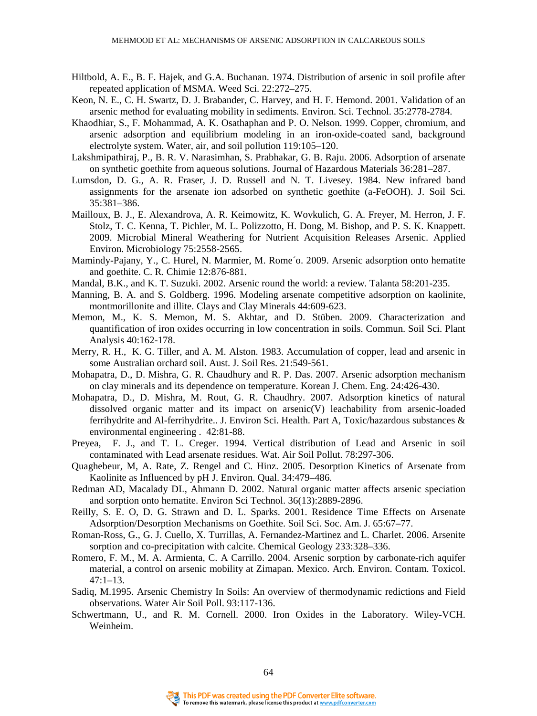- Hiltbold, A. E., B. F. Hajek, and G.A. Buchanan. 1974. Distribution of arsenic in soil profile after repeated application of MSMA. Weed Sci. 22:272–275.
- Keon, N. E., C. H. Swartz, D. J. Brabander, C. Harvey, and H. F. Hemond. 2001. Validation of an arsenic method for evaluating mobility in sediments. Environ. Sci. Technol. 35:2778-2784.
- Khaodhiar, S., F. Mohammad, A. K. Osathaphan and P. O. Nelson. 1999. Copper, chromium, and arsenic adsorption and equilibrium modeling in an iron-oxide-coated sand, background electrolyte system. Water, air, and soil pollution 119:105–120.
- Lakshmipathiraj, P., B. R. V. Narasimhan, S. Prabhakar, G. B. Raju. 2006. Adsorption of arsenate on synthetic goethite from aqueous solutions. Journal of Hazardous Materials 36:281–287.
- Lumsdon, D. G., A. R. Fraser, J. D. Russell and N. T. Livesey. 1984. New infrared band assignments for the arsenate ion adsorbed on synthetic goethite (a-FeOOH). J. Soil Sci. 35:381–386.
- Mailloux, B. J., E. Alexandrova, A. R. Keimowitz, K. Wovkulich, G. A. Freyer, M. Herron, J. F. Stolz, T. C. Kenna, T. Pichler, M. L. Polizzotto, H. Dong, M. Bishop, and P. S. K. Knappett. 2009. Microbial Mineral Weathering for Nutrient Acquisition Releases Arsenic. Applied Environ. Microbiology 75:2558-2565.
- Mamindy-Pajany, Y., C. Hurel, N. Marmier, M. Rome´o. 2009. Arsenic adsorption onto hematite and goethite. C. R. Chimie 12:876-881.
- Mandal, B.K., and K. T. Suzuki. 2002. Arsenic round the world: a review. Talanta 58:201-235.
- Manning, B. A. and S. Goldberg. 1996. Modeling arsenate competitive adsorption on kaolinite, montmorillonite and illite. Clays and Clay Minerals 44:609-623.
- Memon, M., K. S. Memon, M. S. Akhtar, and D. Stüben. 2009. Characterization and quantification of iron oxides occurring in low concentration in soils. Commun. Soil Sci. Plant Analysis 40:162-178.
- Merry, R. H., K. G. Tiller, and A. M. Alston. 1983. Accumulation of copper, lead and arsenic in some Australian orchard soil. Aust. J. Soil Res. 21:549-561.
- Mohapatra, D., D. Mishra, G. R. Chaudhury and R. P. Das. 2007. Arsenic adsorption mechanism on clay minerals and its dependence on temperature. Korean J. Chem. Eng. 24:426-430.
- Mohapatra, D., D. Mishra, M. Rout, G. R. Chaudhry. 2007. Adsorption kinetics of natural dissolved organic matter and its impact on arsenic(V) leachability from arsenic-loaded ferrihydrite and Al-ferrihydrite.. J. Environ Sci. Health. Part A, Toxic/hazardous substances & environmental engineering . 42:81-88.
- Preyea, F. J., and T. L. Creger. 1994. Vertical distribution of Lead and Arsenic in soil contaminated with Lead arsenate residues. Wat. Air Soil Pollut. 78:297-306.
- Quaghebeur, M, A. Rate, Z. Rengel and C. Hinz. 2005. Desorption Kinetics of Arsenate from Kaolinite as Influenced by pH J. Environ. Qual. 34:479–486.
- Redman AD, Macalady DL, Ahmann D. 2002. Natural organic matter affects arsenic speciation and sorption onto hematite. Environ Sci Technol. 36(13):2889-2896.
- Reilly, S. E. O, D. G. Strawn and D. L. Sparks. 2001. Residence Time Effects on Arsenate Adsorption/Desorption Mechanisms on Goethite. Soil Sci. Soc. Am. J. 65:67–77.
- Roman-Ross, G., G. J. Cuello, X. Turrillas, A. Fernandez-Martinez and L. Charlet. 2006. Arsenite sorption and co-precipitation with calcite. Chemical Geology 233:328–336.
- Romero, F. M., M. A. Armienta, C. A Carrillo. 2004. Arsenic sorption by carbonate-rich aquifer material, a control on arsenic mobility at Zimapan. Mexico. Arch. Environ. Contam. Toxicol. 47:1–13.
- Sadiq, M.1995. Arsenic Chemistry In Soils: An overview of thermodynamic redictions and Field observations. Water Air Soil Poll. 93:117-136.
- Schwertmann, U., and R. M. Cornell. 2000. Iron Oxides in the Laboratory. Wiley-VCH. Weinheim.